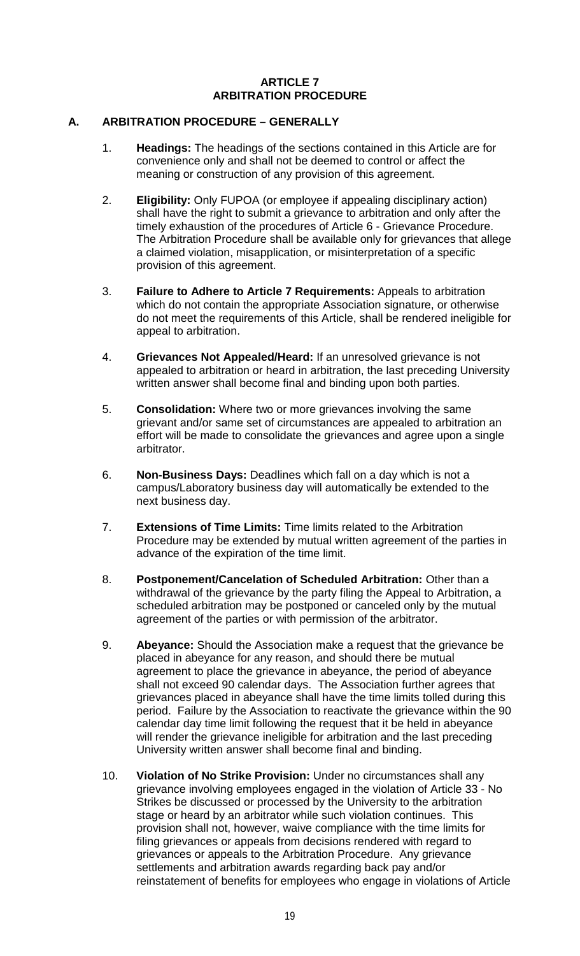#### **ARTICLE 7 ARBITRATION PROCEDURE**

#### **A. ARBITRATION PROCEDURE – GENERALLY**

- 1. **Headings:** The headings of the sections contained in this Article are for convenience only and shall not be deemed to control or affect the meaning or construction of any provision of this agreement.
- 2. **Eligibility:** Only FUPOA (or employee if appealing disciplinary action) shall have the right to submit a grievance to arbitration and only after the timely exhaustion of the procedures of Article 6 - Grievance Procedure. The Arbitration Procedure shall be available only for grievances that allege a claimed violation, misapplication, or misinterpretation of a specific provision of this agreement.
- 3. **Failure to Adhere to Article 7 Requirements:** Appeals to arbitration which do not contain the appropriate Association signature, or otherwise do not meet the requirements of this Article, shall be rendered ineligible for appeal to arbitration.
- 4. **Grievances Not Appealed/Heard:** If an unresolved grievance is not appealed to arbitration or heard in arbitration, the last preceding University written answer shall become final and binding upon both parties.
- 5. **Consolidation:** Where two or more grievances involving the same grievant and/or same set of circumstances are appealed to arbitration an effort will be made to consolidate the grievances and agree upon a single arbitrator.
- 6. **Non-Business Days:** Deadlines which fall on a day which is not a campus/Laboratory business day will automatically be extended to the next business day.
- 7. **Extensions of Time Limits:** Time limits related to the Arbitration Procedure may be extended by mutual written agreement of the parties in advance of the expiration of the time limit.
- 8. **Postponement/Cancelation of Scheduled Arbitration:** Other than a withdrawal of the grievance by the party filing the Appeal to Arbitration, a scheduled arbitration may be postponed or canceled only by the mutual agreement of the parties or with permission of the arbitrator.
- 9. **Abeyance:** Should the Association make a request that the grievance be placed in abeyance for any reason, and should there be mutual agreement to place the grievance in abeyance, the period of abeyance shall not exceed 90 calendar days. The Association further agrees that grievances placed in abeyance shall have the time limits tolled during this period. Failure by the Association to reactivate the grievance within the 90 calendar day time limit following the request that it be held in abeyance will render the grievance ineligible for arbitration and the last preceding University written answer shall become final and binding.
- 10. **Violation of No Strike Provision:** Under no circumstances shall any grievance involving employees engaged in the violation of Article 33 - No Strikes be discussed or processed by the University to the arbitration stage or heard by an arbitrator while such violation continues. This provision shall not, however, waive compliance with the time limits for filing grievances or appeals from decisions rendered with regard to grievances or appeals to the Arbitration Procedure. Any grievance settlements and arbitration awards regarding back pay and/or reinstatement of benefits for employees who engage in violations of Article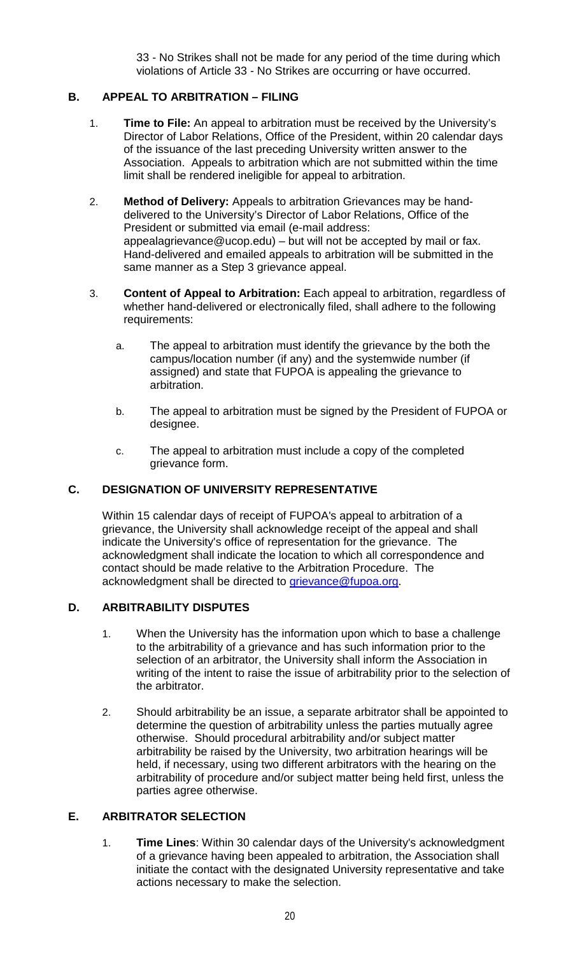33 - No Strikes shall not be made for any period of the time during which violations of Article 33 - No Strikes are occurring or have occurred.

### **B. APPEAL TO ARBITRATION – FILING**

- 1. **Time to File:** An appeal to arbitration must be received by the University's Director of Labor Relations, Office of the President, within 20 calendar days of the issuance of the last preceding University written answer to the Association. Appeals to arbitration which are not submitted within the time limit shall be rendered ineligible for appeal to arbitration.
- 2. **Method of Delivery:** Appeals to arbitration Grievances may be handdelivered to the University's Director of Labor Relations, Office of the President or submitted via email (e-mail address: appealagrievance@ucop.edu) – but will not be accepted by mail or fax. Hand-delivered and emailed appeals to arbitration will be submitted in the same manner as a Step 3 grievance appeal.
- 3. **Content of Appeal to Arbitration:** Each appeal to arbitration, regardless of whether hand-delivered or electronically filed, shall adhere to the following requirements:
	- a. The appeal to arbitration must identify the grievance by the both the campus/location number (if any) and the systemwide number (if assigned) and state that FUPOA is appealing the grievance to arbitration.
	- b. The appeal to arbitration must be signed by the President of FUPOA or designee.
	- c. The appeal to arbitration must include a copy of the completed grievance form.

### **C. DESIGNATION OF UNIVERSITY REPRESENTATIVE**

Within 15 calendar days of receipt of FUPOA's appeal to arbitration of a grievance, the University shall acknowledge receipt of the appeal and shall indicate the University's office of representation for the grievance. The acknowledgment shall indicate the location to which all correspondence and contact should be made relative to the Arbitration Procedure. The acknowledgment shall be directed to [grievance@fupoa.org.](mailto:grievance@fupoa.org)

### **D. ARBITRABILITY DISPUTES**

- 1. When the University has the information upon which to base a challenge to the arbitrability of a grievance and has such information prior to the selection of an arbitrator, the University shall inform the Association in writing of the intent to raise the issue of arbitrability prior to the selection of the arbitrator.
- 2. Should arbitrability be an issue, a separate arbitrator shall be appointed to determine the question of arbitrability unless the parties mutually agree otherwise. Should procedural arbitrability and/or subject matter arbitrability be raised by the University, two arbitration hearings will be held, if necessary, using two different arbitrators with the hearing on the arbitrability of procedure and/or subject matter being held first, unless the parties agree otherwise.

### **E. ARBITRATOR SELECTION**

1. **Time Lines**: Within 30 calendar days of the University's acknowledgment of a grievance having been appealed to arbitration, the Association shall initiate the contact with the designated University representative and take actions necessary to make the selection.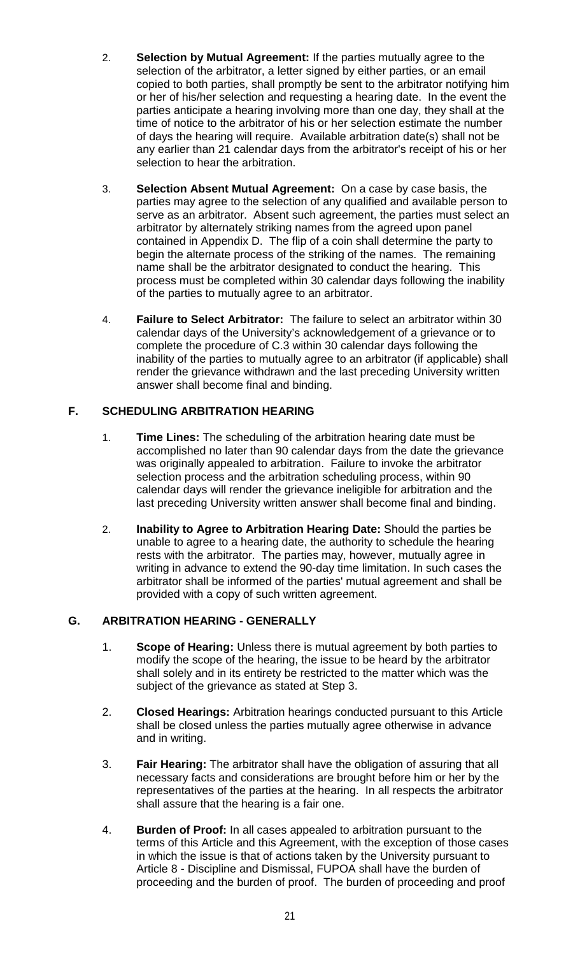- 2. **Selection by Mutual Agreement:** If the parties mutually agree to the selection of the arbitrator, a letter signed by either parties, or an email copied to both parties, shall promptly be sent to the arbitrator notifying him or her of his/her selection and requesting a hearing date. In the event the parties anticipate a hearing involving more than one day, they shall at the time of notice to the arbitrator of his or her selection estimate the number of days the hearing will require. Available arbitration date(s) shall not be any earlier than 21 calendar days from the arbitrator's receipt of his or her selection to hear the arbitration.
- 3. **Selection Absent Mutual Agreement:** On a case by case basis, the parties may agree to the selection of any qualified and available person to serve as an arbitrator. Absent such agreement, the parties must select an arbitrator by alternately striking names from the agreed upon panel contained in Appendix D. The flip of a coin shall determine the party to begin the alternate process of the striking of the names. The remaining name shall be the arbitrator designated to conduct the hearing. This process must be completed within 30 calendar days following the inability of the parties to mutually agree to an arbitrator.
- 4. **Failure to Select Arbitrator:** The failure to select an arbitrator within 30 calendar days of the University's acknowledgement of a grievance or to complete the procedure of C.3 within 30 calendar days following the inability of the parties to mutually agree to an arbitrator (if applicable) shall render the grievance withdrawn and the last preceding University written answer shall become final and binding.

# **F. SCHEDULING ARBITRATION HEARING**

- 1. **Time Lines:** The scheduling of the arbitration hearing date must be accomplished no later than 90 calendar days from the date the grievance was originally appealed to arbitration. Failure to invoke the arbitrator selection process and the arbitration scheduling process, within 90 calendar days will render the grievance ineligible for arbitration and the last preceding University written answer shall become final and binding.
- 2. **Inability to Agree to Arbitration Hearing Date:** Should the parties be unable to agree to a hearing date, the authority to schedule the hearing rests with the arbitrator. The parties may, however, mutually agree in writing in advance to extend the 90-day time limitation. In such cases the arbitrator shall be informed of the parties' mutual agreement and shall be provided with a copy of such written agreement.

# **G. ARBITRATION HEARING - GENERALLY**

- 1. **Scope of Hearing:** Unless there is mutual agreement by both parties to modify the scope of the hearing, the issue to be heard by the arbitrator shall solely and in its entirety be restricted to the matter which was the subject of the grievance as stated at Step 3.
- 2. **Closed Hearings:** Arbitration hearings conducted pursuant to this Article shall be closed unless the parties mutually agree otherwise in advance and in writing.
- 3. **Fair Hearing:** The arbitrator shall have the obligation of assuring that all necessary facts and considerations are brought before him or her by the representatives of the parties at the hearing. In all respects the arbitrator shall assure that the hearing is a fair one.
- 4. **Burden of Proof:** In all cases appealed to arbitration pursuant to the terms of this Article and this Agreement, with the exception of those cases in which the issue is that of actions taken by the University pursuant to Article 8 - Discipline and Dismissal, FUPOA shall have the burden of proceeding and the burden of proof. The burden of proceeding and proof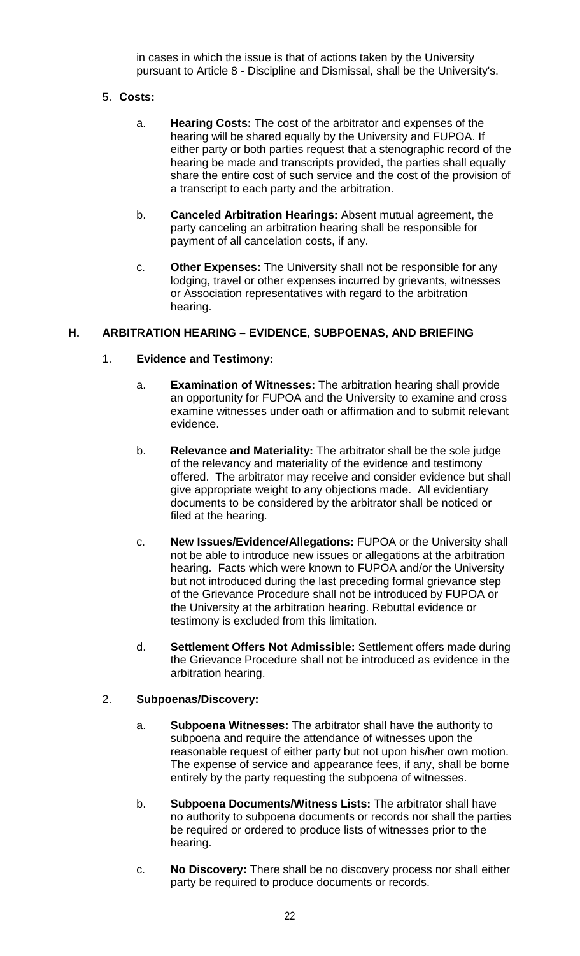in cases in which the issue is that of actions taken by the University pursuant to Article 8 - Discipline and Dismissal, shall be the University's.

#### 5. **Costs:**

- a. **Hearing Costs:** The cost of the arbitrator and expenses of the hearing will be shared equally by the University and FUPOA. If either party or both parties request that a stenographic record of the hearing be made and transcripts provided, the parties shall equally share the entire cost of such service and the cost of the provision of a transcript to each party and the arbitration.
- b. **Canceled Arbitration Hearings:** Absent mutual agreement, the party canceling an arbitration hearing shall be responsible for payment of all cancelation costs, if any.
- c. **Other Expenses:** The University shall not be responsible for any lodging, travel or other expenses incurred by grievants, witnesses or Association representatives with regard to the arbitration hearing.

#### **H. ARBITRATION HEARING – EVIDENCE, SUBPOENAS, AND BRIEFING**

### 1. **Evidence and Testimony:**

- a. **Examination of Witnesses:** The arbitration hearing shall provide an opportunity for FUPOA and the University to examine and cross examine witnesses under oath or affirmation and to submit relevant evidence.
- b. **Relevance and Materiality:** The arbitrator shall be the sole judge of the relevancy and materiality of the evidence and testimony offered. The arbitrator may receive and consider evidence but shall give appropriate weight to any objections made. All evidentiary documents to be considered by the arbitrator shall be noticed or filed at the hearing.
- c. **New Issues/Evidence/Allegations:** FUPOA or the University shall not be able to introduce new issues or allegations at the arbitration hearing. Facts which were known to FUPOA and/or the University but not introduced during the last preceding formal grievance step of the Grievance Procedure shall not be introduced by FUPOA or the University at the arbitration hearing. Rebuttal evidence or testimony is excluded from this limitation.
- d. **Settlement Offers Not Admissible:** Settlement offers made during the Grievance Procedure shall not be introduced as evidence in the arbitration hearing.

#### 2. **Subpoenas/Discovery:**

- a. **Subpoena Witnesses:** The arbitrator shall have the authority to subpoena and require the attendance of witnesses upon the reasonable request of either party but not upon his/her own motion. The expense of service and appearance fees, if any, shall be borne entirely by the party requesting the subpoena of witnesses.
- b. **Subpoena Documents/Witness Lists:** The arbitrator shall have no authority to subpoena documents or records nor shall the parties be required or ordered to produce lists of witnesses prior to the hearing.
- c. **No Discovery:** There shall be no discovery process nor shall either party be required to produce documents or records.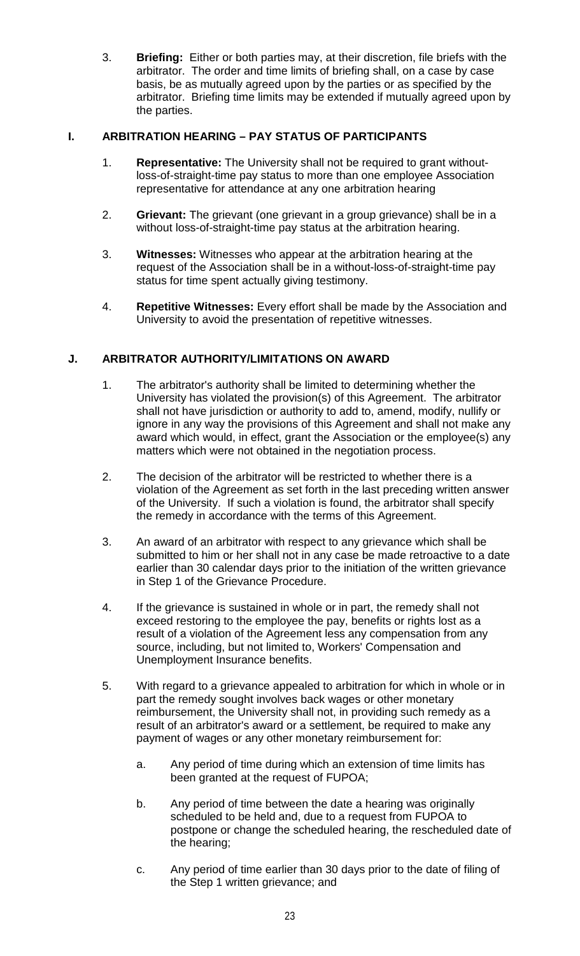3. **Briefing:** Either or both parties may, at their discretion, file briefs with the arbitrator. The order and time limits of briefing shall, on a case by case basis, be as mutually agreed upon by the parties or as specified by the arbitrator. Briefing time limits may be extended if mutually agreed upon by the parties.

# **I. ARBITRATION HEARING – PAY STATUS OF PARTICIPANTS**

- 1. **Representative:** The University shall not be required to grant withoutloss-of-straight-time pay status to more than one employee Association representative for attendance at any one arbitration hearing
- 2. **Grievant:** The grievant (one grievant in a group grievance) shall be in a without loss-of-straight-time pay status at the arbitration hearing.
- 3. **Witnesses:** Witnesses who appear at the arbitration hearing at the request of the Association shall be in a without-loss-of-straight-time pay status for time spent actually giving testimony.
- 4. **Repetitive Witnesses:** Every effort shall be made by the Association and University to avoid the presentation of repetitive witnesses.

## **J. ARBITRATOR AUTHORITY/LIMITATIONS ON AWARD**

- 1. The arbitrator's authority shall be limited to determining whether the University has violated the provision(s) of this Agreement. The arbitrator shall not have jurisdiction or authority to add to, amend, modify, nullify or ignore in any way the provisions of this Agreement and shall not make any award which would, in effect, grant the Association or the employee(s) any matters which were not obtained in the negotiation process.
- 2. The decision of the arbitrator will be restricted to whether there is a violation of the Agreement as set forth in the last preceding written answer of the University. If such a violation is found, the arbitrator shall specify the remedy in accordance with the terms of this Agreement.
- 3. An award of an arbitrator with respect to any grievance which shall be submitted to him or her shall not in any case be made retroactive to a date earlier than 30 calendar days prior to the initiation of the written grievance in Step 1 of the Grievance Procedure.
- 4. If the grievance is sustained in whole or in part, the remedy shall not exceed restoring to the employee the pay, benefits or rights lost as a result of a violation of the Agreement less any compensation from any source, including, but not limited to, Workers' Compensation and Unemployment Insurance benefits.
- 5. With regard to a grievance appealed to arbitration for which in whole or in part the remedy sought involves back wages or other monetary reimbursement, the University shall not, in providing such remedy as a result of an arbitrator's award or a settlement, be required to make any payment of wages or any other monetary reimbursement for:
	- a. Any period of time during which an extension of time limits has been granted at the request of FUPOA;
	- b. Any period of time between the date a hearing was originally scheduled to be held and, due to a request from FUPOA to postpone or change the scheduled hearing, the rescheduled date of the hearing;
	- c. Any period of time earlier than 30 days prior to the date of filing of the Step 1 written grievance; and